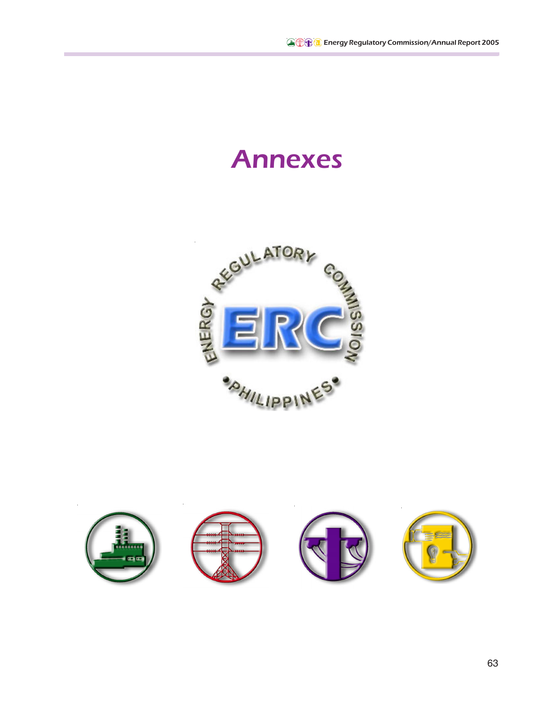# Annexes



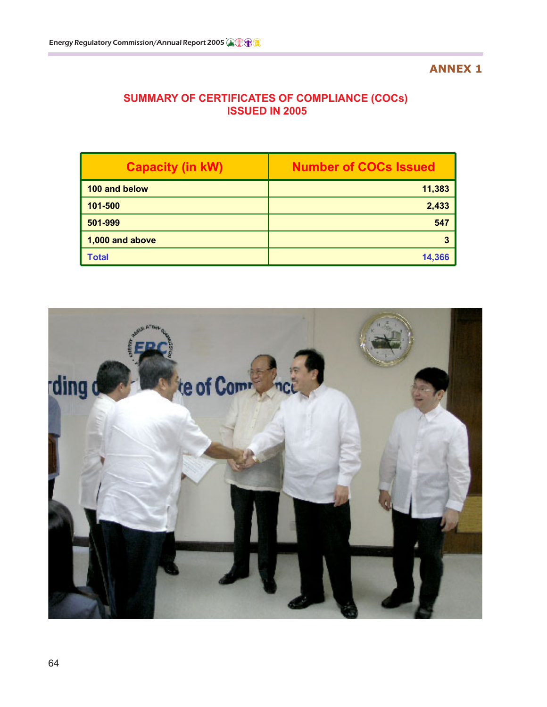#### **ANNEX 1**

## **SUMMARY OF CERTIFICATES OF COMPLIANCE (COCs) ISSUED IN 2005**

| <b>Capacity (in kW)</b> | <b>Number of COCs Issued</b> |  |  |
|-------------------------|------------------------------|--|--|
| 100 and below           | 11,383                       |  |  |
| 101-500                 | 2,433                        |  |  |
| 501-999                 | 547                          |  |  |
| 1,000 and above         |                              |  |  |
| <b>Total</b>            | 14,366                       |  |  |

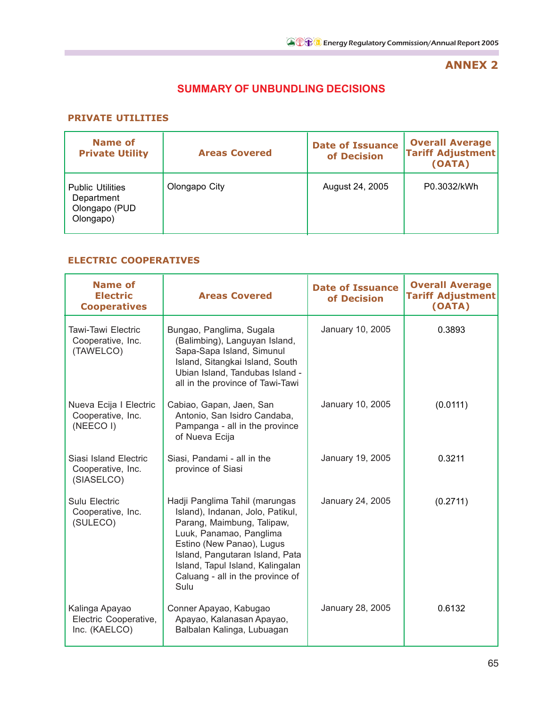## **ANNEX 2**

## **SUMMARY OF UNBUNDLING DECISIONS**

### **PRIVATE UTILITIES**

| Name of<br><b>Private Utility</b>                                   | <b>Areas Covered</b> | <b>Date of Issuance</b><br>of Decision | <b>Overall Average</b><br><b>Tariff Adjustment</b><br>(OATA) |
|---------------------------------------------------------------------|----------------------|----------------------------------------|--------------------------------------------------------------|
| <b>Public Utilities</b><br>Department<br>Olongapo (PUD<br>Olongapo) | Olongapo City        | August 24, 2005                        | P0.3032/kWh                                                  |

### **ELECTRIC COOPERATIVES**

| <b>Name of</b><br><b>Electric</b><br><b>Cooperatives</b> | <b>Areas Covered</b>                                                                                                                                                                                                                                                        | <b>Date of Issuance</b><br>of Decision | <b>Overall Average</b><br><b>Tariff Adjustment</b><br>(OATA) |
|----------------------------------------------------------|-----------------------------------------------------------------------------------------------------------------------------------------------------------------------------------------------------------------------------------------------------------------------------|----------------------------------------|--------------------------------------------------------------|
| Tawi-Tawi Electric<br>Cooperative, Inc.<br>(TAWELCO)     | Bungao, Panglima, Sugala<br>(Balimbing), Languyan Island,<br>Sapa-Sapa Island, Simunul<br>Island, Sitangkai Island, South<br>Ubian Island, Tandubas Island -<br>all in the province of Tawi-Tawi                                                                            | January 10, 2005                       | 0.3893                                                       |
| Nueva Ecija I Electric<br>Cooperative, Inc.<br>(NEECO I) | Cabiao, Gapan, Jaen, San<br>Antonio, San Isidro Candaba,<br>Pampanga - all in the province<br>of Nueva Ecija                                                                                                                                                                | January 10, 2005                       | (0.0111)                                                     |
| Siasi Island Electric<br>Cooperative, Inc.<br>(SIASELCO) | Siasi, Pandami - all in the<br>province of Siasi                                                                                                                                                                                                                            | January 19, 2005                       | 0.3211                                                       |
| Sulu Electric<br>Cooperative, Inc.<br>(SULECO)           | Hadji Panglima Tahil (marungas<br>Island), Indanan, Jolo, Patikul,<br>Parang, Maimbung, Talipaw,<br>Luuk, Panamao, Panglima<br>Estino (New Panao), Lugus<br>Island, Pangutaran Island, Pata<br>Island, Tapul Island, Kalingalan<br>Caluang - all in the province of<br>Sulu | January 24, 2005                       | (0.2711)                                                     |
| Kalinga Apayao<br>Electric Cooperative,<br>Inc. (KAELCO) | Conner Apayao, Kabugao<br>Apayao, Kalanasan Apayao,<br>Balbalan Kalinga, Lubuagan                                                                                                                                                                                           | January 28, 2005                       | 0.6132                                                       |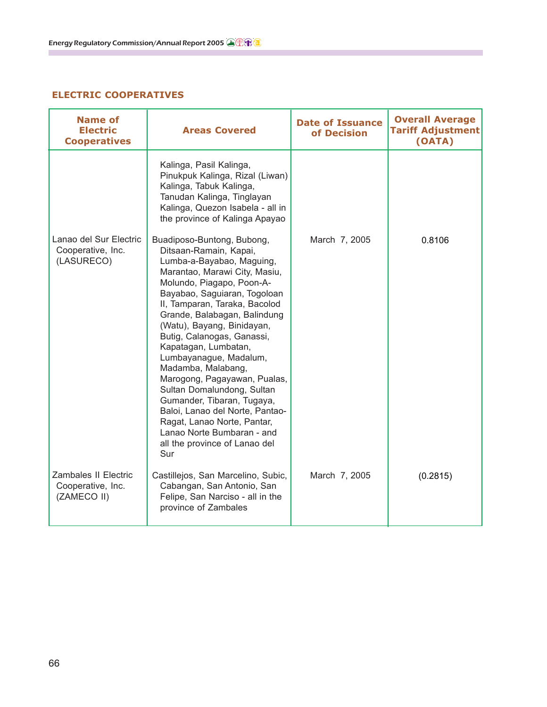## **ELECTRIC COOPERATIVES**

| <b>Name of</b><br><b>Electric</b><br><b>Cooperatives</b>        | <b>Areas Covered</b>                                                                                                                                                                                                                                                                                                                                                                                                                                                                                                                                                                                                     | <b>Date of Issuance</b><br>of Decision | <b>Overall Average</b><br><b>Tariff Adjustment</b><br>(OATA) |
|-----------------------------------------------------------------|--------------------------------------------------------------------------------------------------------------------------------------------------------------------------------------------------------------------------------------------------------------------------------------------------------------------------------------------------------------------------------------------------------------------------------------------------------------------------------------------------------------------------------------------------------------------------------------------------------------------------|----------------------------------------|--------------------------------------------------------------|
|                                                                 | Kalinga, Pasil Kalinga,<br>Pinukpuk Kalinga, Rizal (Liwan)<br>Kalinga, Tabuk Kalinga,<br>Tanudan Kalinga, Tinglayan<br>Kalinga, Quezon Isabela - all in<br>the province of Kalinga Apayao                                                                                                                                                                                                                                                                                                                                                                                                                                |                                        |                                                              |
| Lanao del Sur Electric<br>Cooperative, Inc.<br>(LASURECO)       | Buadiposo-Buntong, Bubong,<br>Ditsaan-Ramain, Kapai,<br>Lumba-a-Bayabao, Maguing,<br>Marantao, Marawi City, Masiu,<br>Molundo, Piagapo, Poon-A-<br>Bayabao, Saguiaran, Togoloan<br>II, Tamparan, Taraka, Bacolod<br>Grande, Balabagan, Balindung<br>(Watu), Bayang, Binidayan,<br>Butig, Calanogas, Ganassi,<br>Kapatagan, Lumbatan,<br>Lumbayanague, Madalum,<br>Madamba, Malabang,<br>Marogong, Pagayawan, Pualas,<br>Sultan Domalundong, Sultan<br>Gumander, Tibaran, Tugaya,<br>Baloi, Lanao del Norte, Pantao-<br>Ragat, Lanao Norte, Pantar,<br>Lanao Norte Bumbaran - and<br>all the province of Lanao del<br>Sur | March 7, 2005                          | 0.8106                                                       |
| <b>Zambales II Electric</b><br>Cooperative, Inc.<br>(ZAMECO II) | Castillejos, San Marcelino, Subic,<br>Cabangan, San Antonio, San<br>Felipe, San Narciso - all in the<br>province of Zambales                                                                                                                                                                                                                                                                                                                                                                                                                                                                                             | March 7, 2005                          | (0.2815)                                                     |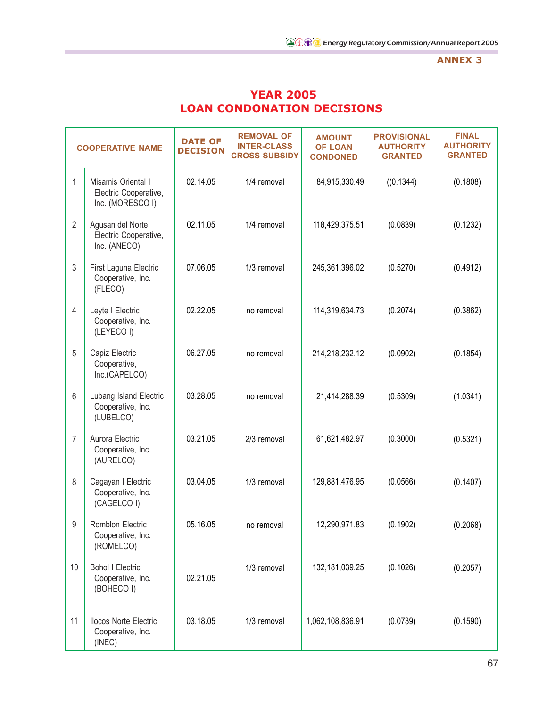#### **ANNEX 3**

| <b>YEAR 2005</b>                  |
|-----------------------------------|
| <b>LOAN CONDONATION DECISIONS</b> |

|                | <b>COOPERATIVE NAME</b>                                         | <b>DATE OF</b><br><b>DECISION</b> | <b>REMOVAL OF</b><br><b>INTER-CLASS</b><br><b>CROSS SUBSIDY</b> | <b>AMOUNT</b><br><b>OF LOAN</b><br><b>CONDONED</b> | <b>PROVISIONAL</b><br><b>AUTHORITY</b><br><b>GRANTED</b> | <b>FINAL</b><br><b>AUTHORITY</b><br><b>GRANTED</b> |
|----------------|-----------------------------------------------------------------|-----------------------------------|-----------------------------------------------------------------|----------------------------------------------------|----------------------------------------------------------|----------------------------------------------------|
| $\mathbf{1}$   | Misamis Oriental I<br>Electric Cooperative,<br>Inc. (MORESCO I) | 02.14.05                          | 1/4 removal                                                     | 84,915,330.49                                      | ((0.1344)                                                | (0.1808)                                           |
| $\overline{2}$ | Agusan del Norte<br>Electric Cooperative,<br>Inc. (ANECO)       | 02.11.05                          | 1/4 removal                                                     | 118,429,375.51                                     | (0.0839)                                                 | (0.1232)                                           |
| 3              | First Laguna Electric<br>Cooperative, Inc.<br>(FLECO)           | 07.06.05                          | 1/3 removal                                                     | 245,361,396.02                                     | (0.5270)                                                 | (0.4912)                                           |
| 4              | Leyte I Electric<br>Cooperative, Inc.<br>(LEYECO I)             | 02.22.05                          | no removal                                                      | 114,319,634.73                                     | (0.2074)                                                 | (0.3862)                                           |
| 5              | Capiz Electric<br>Cooperative,<br>Inc.(CAPELCO)                 | 06.27.05                          | no removal                                                      | 214,218,232.12                                     | (0.0902)                                                 | (0.1854)                                           |
| 6              | Lubang Island Electric<br>Cooperative, Inc.<br>(LUBELCO)        | 03.28.05                          | no removal                                                      | 21,414,288.39                                      | (0.5309)                                                 | (1.0341)                                           |
| 7              | Aurora Electric<br>Cooperative, Inc.<br>(AURELCO)               | 03.21.05                          | 2/3 removal                                                     | 61,621,482.97                                      | (0.3000)                                                 | (0.5321)                                           |
| 8              | Cagayan I Electric<br>Cooperative, Inc.<br>(CAGELCO I)          | 03.04.05                          | 1/3 removal                                                     | 129,881,476.95                                     | (0.0566)                                                 | (0.1407)                                           |
| 9              | Romblon Electric<br>Cooperative, Inc.<br>(ROMELCO)              | 05.16.05                          | no removal                                                      | 12,290,971.83                                      | (0.1902)                                                 | (0.2068)                                           |
| 10             | <b>Bohol I Electric</b><br>Cooperative, Inc.<br>(BOHECO I)      | 02.21.05                          | 1/3 removal                                                     | 132,181,039.25                                     | (0.1026)                                                 | (0.2057)                                           |
| 11             | <b>Ilocos Norte Electric</b><br>Cooperative, Inc.<br>(INEC)     | 03.18.05                          | 1/3 removal                                                     | 1,062,108,836.91                                   | (0.0739)                                                 | (0.1590)                                           |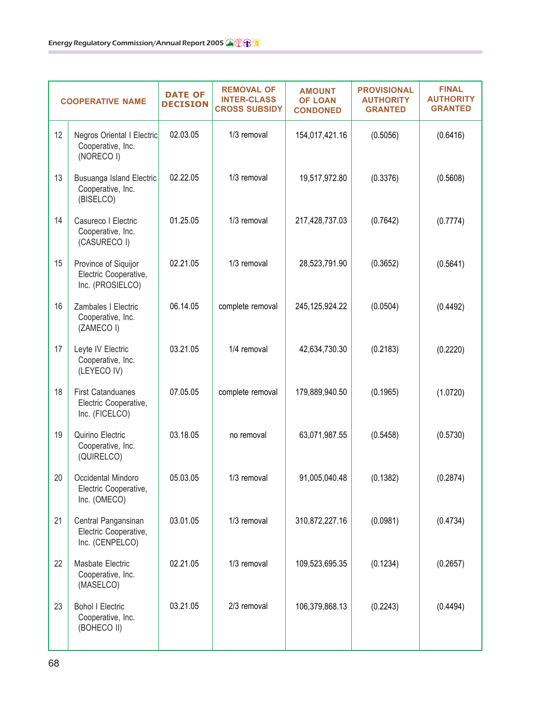|    | <b>COOPERATIVE NAME</b>                                             | <b>DATE OF</b><br><b>DECISION</b> | <b>REMOVAL OF</b><br><b>INTER-CLASS</b><br><b>CROSS SUBSIDY</b> | <b>AMOUNT</b><br><b>OF LOAN</b><br><b>CONDONED</b> | <b>PROVISIONAL</b><br><b>AUTHORITY</b><br><b>GRANTED</b> | <b>FINAL</b><br><b>AUTHORITY</b><br><b>GRANTED</b> |
|----|---------------------------------------------------------------------|-----------------------------------|-----------------------------------------------------------------|----------------------------------------------------|----------------------------------------------------------|----------------------------------------------------|
| 12 | Negros Oriental I Electric<br>Cooperative, Inc.<br>(NORECO I)       | 02.03.05                          | 1/3 removal                                                     | 154,017,421.16                                     | (0.5056)                                                 | (0.6416)                                           |
| 13 | Busuanga Island Electric<br>Cooperative, Inc.<br>(BISELCO)          | 02.22.05                          | 1/3 removal                                                     | 19,517,972.80                                      | (0.3376)                                                 | (0.5608)                                           |
| 14 | Casureco I Electric<br>Cooperative, Inc.<br>(CASURECO I)            | 01.25.05                          | 1/3 removal                                                     | 217,428,737.03                                     | (0.7642)                                                 | (0.7774)                                           |
| 15 | Province of Siquijor<br>Electric Cooperative,<br>Inc. (PROSIELCO)   | 02.21.05                          | 1/3 removal                                                     | 28,523,791.90                                      | (0.3652)                                                 | (0.5641)                                           |
| 16 | Zambales I Electric<br>Cooperative, Inc.<br>(ZAMECO I)              | 06.14.05                          | complete removal                                                | 245, 125, 924. 22                                  | (0.0504)                                                 | (0.4492)                                           |
| 17 | Leyte IV Electric<br>Cooperative, Inc.<br>(LEYECO IV)               | 03.21.05                          | 1/4 removal                                                     | 42,634,730.30                                      | (0.2183)                                                 | (0.2220)                                           |
| 18 | <b>First Catanduanes</b><br>Electric Cooperative,<br>Inc. (FICELCO) | 07.05.05                          | complete removal                                                | 179,889,940.50                                     | (0.1965)                                                 | (1.0720)                                           |
| 19 | Quirino Electric<br>Cooperative, Inc.<br>(QUIRELCO)                 | 03.18.05                          | no removal                                                      | 63,071,987.55                                      | (0.5458)                                                 | (0.5730)                                           |
| 20 | Occidental Mindoro<br>Electric Cooperative,<br>Inc. (OMECO)         | 05.03.05                          | 1/3 removal                                                     | 91,005,040.48                                      | (0.1382)                                                 | (0.2874)                                           |
| 21 | Central Pangansinan<br>Electric Cooperative,<br>Inc. (CENPELCO)     | 03.01.05                          | 1/3 removal                                                     | 310,872,227.16                                     | (0.0981)                                                 | (0.4734)                                           |
| 22 | Masbate Electric<br>Cooperative, Inc.<br>(MASELCO)                  | 02.21.05                          | 1/3 removal                                                     | 109,523,695.35                                     | (0.1234)                                                 | (0.2657)                                           |
| 23 | <b>Bohol I Electric</b><br>Cooperative, Inc.<br>(BOHECO II)         | 03.21.05                          | 2/3 removal                                                     | 106,379,868.13                                     | (0.2243)                                                 | (0.4494)                                           |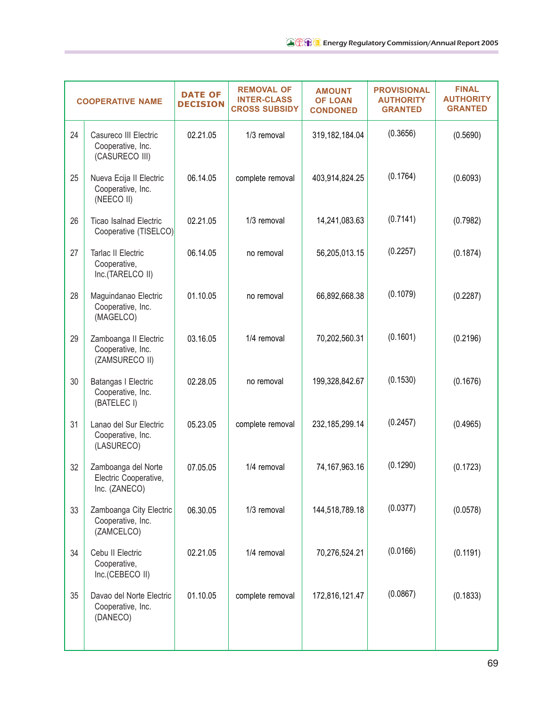|    | <b>COOPERATIVE NAME</b>                                       | <b>DATE OF</b><br><b>DECISION</b> | <b>REMOVAL OF</b><br><b>INTER-CLASS</b><br><b>CROSS SUBSIDY</b> | <b>AMOUNT</b><br><b>OF LOAN</b><br><b>CONDONED</b> | <b>PROVISIONAL</b><br><b>AUTHORITY</b><br><b>GRANTED</b> | <b>FINAL</b><br><b>AUTHORITY</b><br><b>GRANTED</b> |
|----|---------------------------------------------------------------|-----------------------------------|-----------------------------------------------------------------|----------------------------------------------------|----------------------------------------------------------|----------------------------------------------------|
| 24 | Casureco III Electric<br>Cooperative, Inc.<br>(CASURECO III)  | 02.21.05                          | 1/3 removal                                                     | 319,182,184.04                                     | (0.3656)                                                 | (0.5690)                                           |
| 25 | Nueva Ecija II Electric<br>Cooperative, Inc.<br>(NEECO II)    | 06.14.05                          | complete removal                                                | 403,914,824.25                                     | (0.1764)                                                 | (0.6093)                                           |
| 26 | <b>Ticao Isalnad Electric</b><br>Cooperative (TISELCO)        | 02.21.05                          | 1/3 removal                                                     | 14,241,083.63                                      | (0.7141)                                                 | (0.7982)                                           |
| 27 | <b>Tarlac II Electric</b><br>Cooperative,<br>Inc.(TARELCO II) | 06.14.05                          | no removal                                                      | 56,205,013.15                                      | (0.2257)                                                 | (0.1874)                                           |
| 28 | Maguindanao Electric<br>Cooperative, Inc.<br>(MAGELCO)        | 01.10.05                          | no removal                                                      | 66,892,668.38                                      | (0.1079)                                                 | (0.2287)                                           |
| 29 | Zamboanga II Electric<br>Cooperative, Inc.<br>(ZAMSURECO II)  | 03.16.05                          | 1/4 removal                                                     | 70,202,560.31                                      | (0.1601)                                                 | (0.2196)                                           |
| 30 | Batangas I Electric<br>Cooperative, Inc.<br>(BATELEC I)       | 02.28.05                          | no removal                                                      | 199,328,842.67                                     | (0.1530)                                                 | (0.1676)                                           |
| 31 | Lanao del Sur Electric<br>Cooperative, Inc.<br>(LASURECO)     | 05.23.05                          | complete removal                                                | 232, 185, 299. 14                                  | (0.2457)                                                 | (0.4965)                                           |
| 32 | Zamboanga del Norte<br>Electric Cooperative,<br>Inc. (ZANECO) | 07.05.05                          | 1/4 removal                                                     | 74, 167, 963. 16                                   | (0.1290)                                                 | (0.1723)                                           |
| 33 | Zamboanga City Electric<br>Cooperative, Inc.<br>(ZAMCELCO)    | 06.30.05                          | 1/3 removal                                                     | 144,518,789.18                                     | (0.0377)                                                 | (0.0578)                                           |
| 34 | Cebu II Electric<br>Cooperative,<br>Inc.(CEBECO II)           | 02.21.05                          | 1/4 removal                                                     | 70,276,524.21                                      | (0.0166)                                                 | (0.1191)                                           |
| 35 | Davao del Norte Electric<br>Cooperative, Inc.<br>(DANECO)     | 01.10.05                          | complete removal                                                | 172,816,121.47                                     | (0.0867)                                                 | (0.1833)                                           |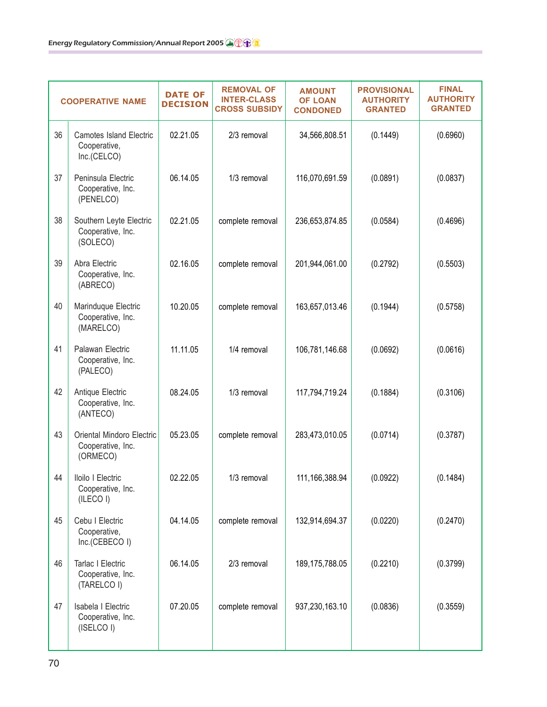|    | <b>COOPERATIVE NAME</b>                                       | <b>DATE OF</b><br><b>DECISION</b> | <b>REMOVAL OF</b><br><b>INTER-CLASS</b><br><b>CROSS SUBSIDY</b> | <b>AMOUNT</b><br><b>OF LOAN</b><br><b>CONDONED</b> | <b>PROVISIONAL</b><br><b>AUTHORITY</b><br><b>GRANTED</b> | <b>FINAL</b><br><b>AUTHORITY</b><br><b>GRANTED</b> |
|----|---------------------------------------------------------------|-----------------------------------|-----------------------------------------------------------------|----------------------------------------------------|----------------------------------------------------------|----------------------------------------------------|
| 36 | <b>Camotes Island Electric</b><br>Cooperative,<br>Inc.(CELCO) | 02.21.05                          | 2/3 removal                                                     | 34,566,808.51                                      | (0.1449)                                                 | (0.6960)                                           |
| 37 | Peninsula Electric<br>Cooperative, Inc.<br>(PENELCO)          | 06.14.05                          | 1/3 removal                                                     | 116,070,691.59                                     | (0.0891)                                                 | (0.0837)                                           |
| 38 | Southern Leyte Electric<br>Cooperative, Inc.<br>(SOLECO)      | 02.21.05                          | complete removal                                                | 236,653,874.85                                     | (0.0584)                                                 | (0.4696)                                           |
| 39 | Abra Electric<br>Cooperative, Inc.<br>(ABRECO)                | 02.16.05                          | complete removal                                                | 201,944,061.00                                     | (0.2792)                                                 | (0.5503)                                           |
| 40 | Marinduque Electric<br>Cooperative, Inc.<br>(MARELCO)         | 10.20.05                          | complete removal                                                | 163,657,013.46                                     | (0.1944)                                                 | (0.5758)                                           |
| 41 | Palawan Electric<br>Cooperative, Inc.<br>(PALECO)             | 11.11.05                          | 1/4 removal                                                     | 106,781,146.68                                     | (0.0692)                                                 | (0.0616)                                           |
| 42 | Antique Electric<br>Cooperative, Inc.<br>(ANTECO)             | 08.24.05                          | 1/3 removal                                                     | 117,794,719.24                                     | (0.1884)                                                 | (0.3106)                                           |
| 43 | Oriental Mindoro Electric<br>Cooperative, Inc.<br>(ORMECO)    | 05.23.05                          | complete removal                                                | 283,473,010.05                                     | (0.0714)                                                 | (0.3787)                                           |
| 44 | Iloilo I Electric<br>Cooperative, Inc.<br>(ILECO I)           | 02.22.05                          | 1/3 removal                                                     | 111, 166, 388. 94                                  | (0.0922)                                                 | (0.1484)                                           |
| 45 | Cebu I Electric<br>Cooperative,<br>Inc.(CEBECO I)             | 04.14.05                          | complete removal                                                | 132,914,694.37                                     | (0.0220)                                                 | (0.2470)                                           |
| 46 | Tarlac I Electric<br>Cooperative, Inc.<br>(TARELCO I)         | 06.14.05                          | 2/3 removal                                                     | 189, 175, 788.05                                   | (0.2210)                                                 | (0.3799)                                           |
| 47 | Isabela I Electric<br>Cooperative, Inc.<br>(ISELCO I)         | 07.20.05                          | complete removal                                                | 937,230,163.10                                     | (0.0836)                                                 | (0.3559)                                           |